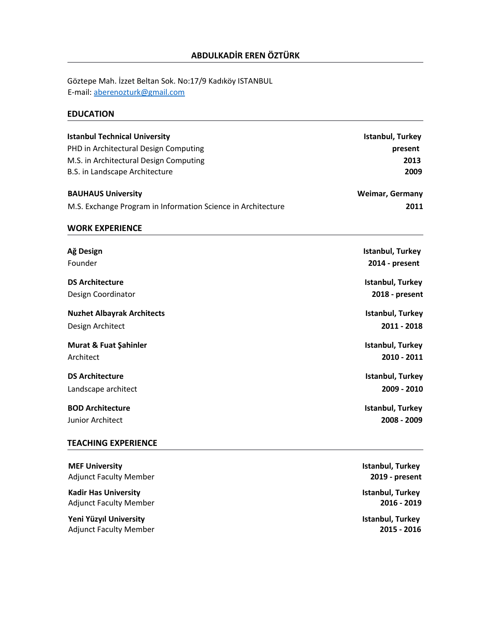Göztepe Mah. İzzet Beltan Sok. No:17/9 Kadıköy ISTANBUL E-mail: [aberenozturk@gmail.com](mailto:aberenozturk@gmail.com)

# **EDUCATION**

| <b>Istanbul Technical University</b><br>PHD in Architectural Design Computing<br>M.S. in Architectural Design Computing<br>B.S. in Landscape Architecture | Istanbul, Turkey<br>present<br>2013<br>2009 |
|-----------------------------------------------------------------------------------------------------------------------------------------------------------|---------------------------------------------|
| <b>BAUHAUS University</b>                                                                                                                                 | <b>Weimar, Germany</b>                      |
| M.S. Exchange Program in Information Science in Architecture                                                                                              | 2011                                        |
| <b>WORK EXPERIENCE</b>                                                                                                                                    |                                             |
| Ağ Design                                                                                                                                                 | Istanbul, Turkey                            |
| Founder                                                                                                                                                   | 2014 - present                              |
| <b>DS Architecture</b>                                                                                                                                    | Istanbul, Turkey                            |
| Design Coordinator                                                                                                                                        | 2018 - present                              |
| <b>Nuzhet Albayrak Architects</b>                                                                                                                         | Istanbul, Turkey                            |
| Design Architect                                                                                                                                          | 2011 - 2018                                 |
| <b>Murat &amp; Fuat Şahinler</b><br>Architect                                                                                                             | Istanbul, Turkey<br>2010 - 2011             |
| <b>DS Architecture</b>                                                                                                                                    | Istanbul, Turkey                            |
| Landscape architect                                                                                                                                       | 2009 - 2010                                 |
| <b>BOD Architecture</b><br><b>Junior Architect</b>                                                                                                        | Istanbul, Turkey<br>2008 - 2009             |

## **TEACHING EXPERIENCE**

| <b>MEF University</b>         | Istanbul, Turkey |
|-------------------------------|------------------|
| <b>Adjunct Faculty Member</b> | 2019 - present   |
| <b>Kadir Has University</b>   | Istanbul, Turkey |
| <b>Adjunct Faculty Member</b> | 2016 - 2019      |
| Yeni Yüzyıl University        | Istanbul, Turkey |
| <b>Adjunct Faculty Member</b> | 2015 - 2016      |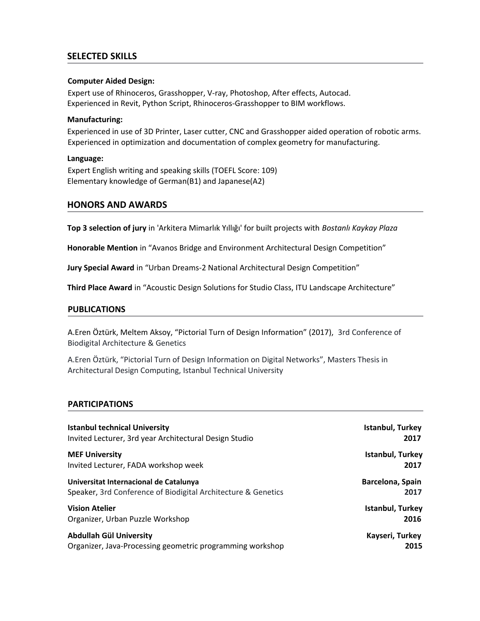## **SELECTED SKILLS**

#### **Computer Aided Design:**

Expert use of Rhinoceros, Grasshopper, V-ray, Photoshop, After effects, Autocad. Experienced in Revit, Python Script, Rhinoceros-Grasshopper to BIM workflows.

#### **Manufacturing:**

Experienced in use of 3D Printer, Laser cutter, CNC and Grasshopper aided operation of robotic arms. Experienced in optimization and documentation of complex geometry for manufacturing.

#### **Language:**

Expert English writing and speaking skills (TOEFL Score: 109) Elementary knowledge of German(B1) and Japanese(A2)

### **HONORS AND AWARDS**

**Top 3 selection of jury** in 'Arkitera Mimarlık Yıllığı' for built projects with *Bostanlı Kaykay Plaza*

**Honorable Mention** in "Avanos Bridge and Environment Architectural Design Competition"

**Jury Special Award** in "Urban Dreams-2 National Architectural Design Competition"

**Third Place Award** in "Acoustic Design Solutions for Studio Class, ITU Landscape Architecture"

#### **PUBLICATIONS**

A.Eren Öztürk, Meltem Aksoy, "Pictorial Turn of Design Information" (2017), 3rd Conference of Biodigital Architecture & Genetics

A.Eren Öztürk, "Pictorial Turn of Design Information on Digital Networks", Masters Thesis in Architectural Design Computing, Istanbul Technical University

### **PARTICIPATIONS**

| <b>Istanbul technical University</b>                          | Istanbul, Turkey |
|---------------------------------------------------------------|------------------|
| Invited Lecturer, 3rd year Architectural Design Studio        | 2017             |
| <b>MEF University</b>                                         | Istanbul, Turkey |
| Invited Lecturer, FADA workshop week                          | 2017             |
| Universitat Internacional de Catalunya                        | Barcelona, Spain |
| Speaker, 3rd Conference of Biodigital Architecture & Genetics | 2017             |
| <b>Vision Atelier</b>                                         | Istanbul, Turkey |
| Organizer, Urban Puzzle Workshop                              | 2016             |
| Abdullah Gül University                                       | Kayseri, Turkey  |
| Organizer, Java-Processing geometric programming workshop     | 2015             |